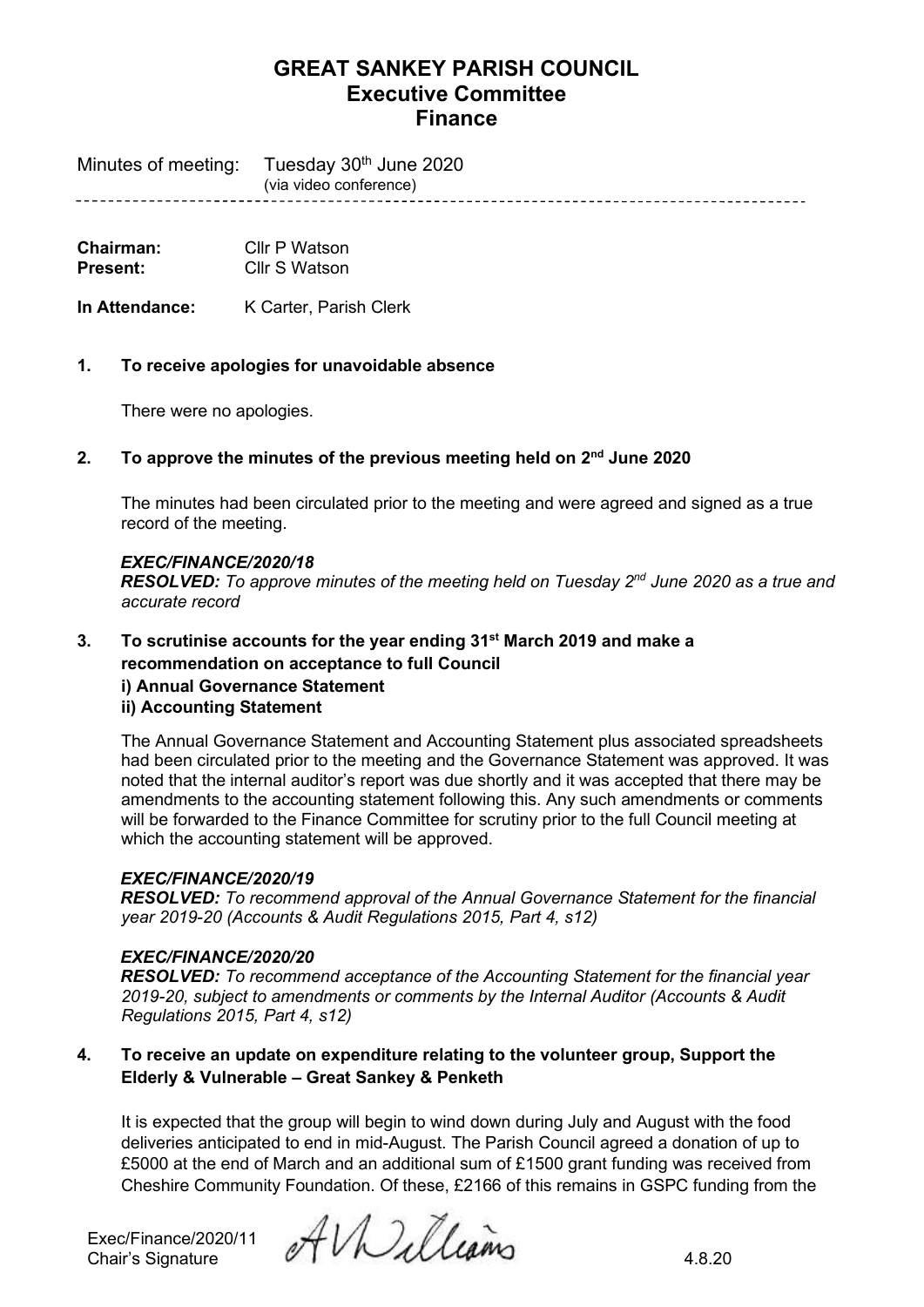---------------------

Minutes of meeting: Tuesday 30<sup>th</sup> June 2020

(via video conference)

**Chairman:** Cllr P Watson<br> **Present:** Cllr S Watson **Present:** Cllr S Watson

**In Attendance:** K Carter, Parish Clerk

## **1. To receive apologies for unavoidable absence**

There were no apologies.

## **2. To approve the minutes of the previous meeting held on 2 nd June 2020**

The minutes had been circulated prior to the meeting and were agreed and signed as a true record of the meeting.

### *EXEC/FINANCE/2020/18*

**RESOLVED:** To approve minutes of the meeting held on Tuesday 2<sup>nd</sup> June 2020 as a true and *accurate record*

### **3. To scrutinise accounts for the year ending 31st March 2019 and make a recommendation on acceptance to full Council**

# **i) Annual Governance Statement**

# **ii) Accounting Statement**

The Annual Governance Statement and Accounting Statement plus associated spreadsheets had been circulated prior to the meeting and the Governance Statement was approved. It was noted that the internal auditor's report was due shortly and it was accepted that there may be amendments to the accounting statement following this. Any such amendments or comments will be forwarded to the Finance Committee for scrutiny prior to the full Council meeting at which the accounting statement will be approved.

### *EXEC/FINANCE/2020/19*

*RESOLVED: To recommend approval of the Annual Governance Statement for the financial year 2019-20 (Accounts & Audit Regulations 2015, Part 4, s12)*

### *EXEC/FINANCE/2020/20*

*RESOLVED: To recommend acceptance of the Accounting Statement for the financial year 2019-20, subject to amendments or comments by the Internal Auditor (Accounts & Audit Regulations 2015, Part 4, s12)*

## **4. To receive an update on expenditure relating to the volunteer group, Support the Elderly & Vulnerable – Great Sankey & Penketh**

It is expected that the group will begin to wind down during July and August with the food deliveries anticipated to end in mid-August. The Parish Council agreed a donation of up to £5000 at the end of March and an additional sum of £1500 grant funding was received from Cheshire Community Foundation. Of these, £2166 of this remains in GSPC funding from the

Exec/Finance/2020/11

Exec/Finance/2020/11  $\partial$  AV builleams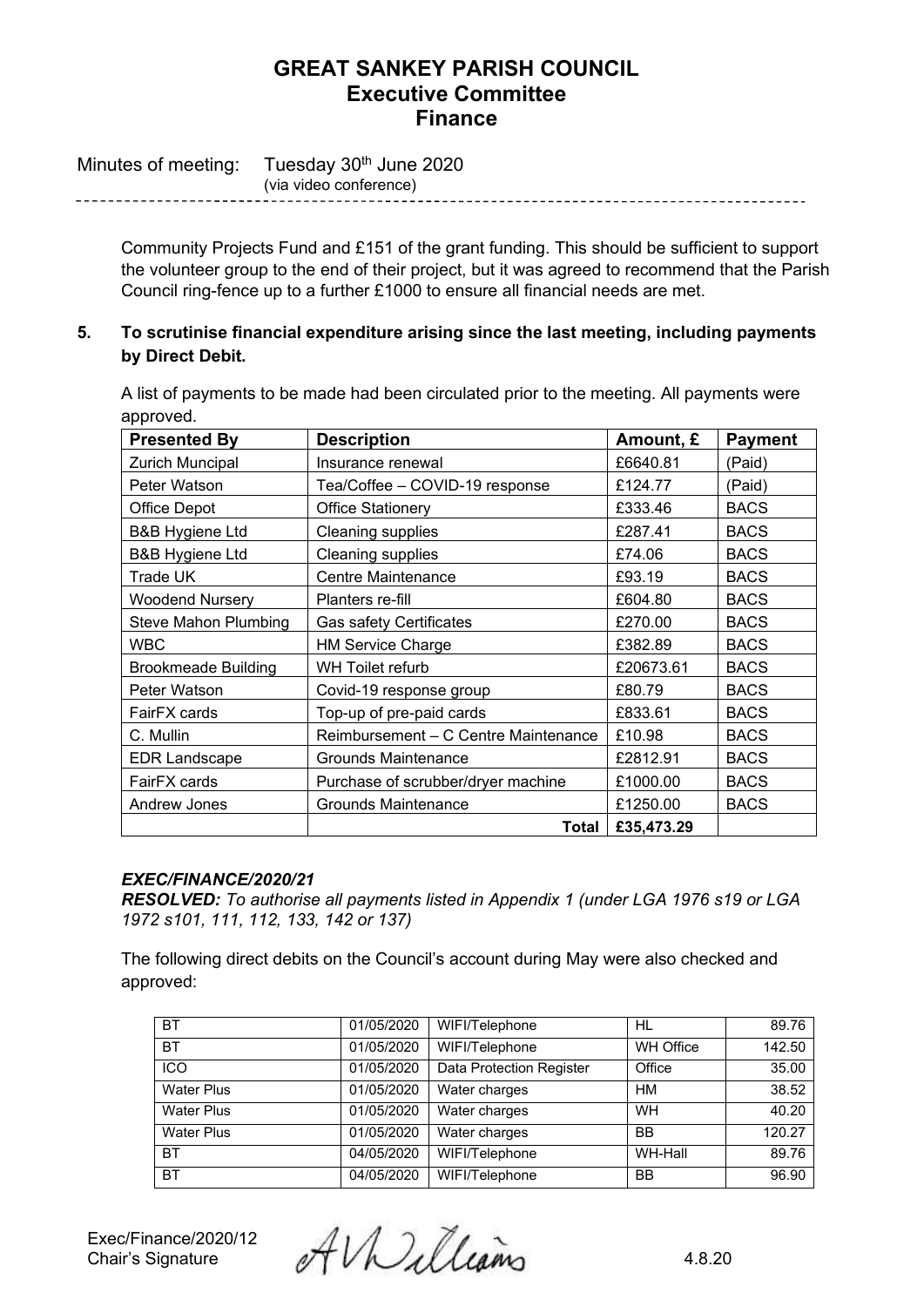Minutes of meeting: Tuesday 30<sup>th</sup> June 2020 (via video conference)

> Community Projects Fund and £151 of the grant funding. This should be sufficient to support the volunteer group to the end of their project, but it was agreed to recommend that the Parish Council ring-fence up to a further £1000 to ensure all financial needs are met.

# **5. To scrutinise financial expenditure arising since the last meeting, including payments by Direct Debit.**

A list of payments to be made had been circulated prior to the meeting. All payments were approved.

| <b>Presented By</b>        | <b>Description</b>                   | Amount, £  | <b>Payment</b> |
|----------------------------|--------------------------------------|------------|----------------|
| Zurich Muncipal            | Insurance renewal                    | £6640.81   | (Paid)         |
| Peter Watson               | Tea/Coffee - COVID-19 response       | £124.77    | (Paid)         |
| Office Depot               | <b>Office Stationery</b>             | £333.46    | <b>BACS</b>    |
| <b>B&amp;B Hygiene Ltd</b> | Cleaning supplies                    | £287.41    | <b>BACS</b>    |
| <b>B&amp;B Hygiene Ltd</b> | Cleaning supplies                    | £74.06     | <b>BACS</b>    |
| Trade UK                   | <b>Centre Maintenance</b>            | £93.19     | <b>BACS</b>    |
| <b>Woodend Nursery</b>     | Planters re-fill                     | £604.80    | <b>BACS</b>    |
| Steve Mahon Plumbing       | <b>Gas safety Certificates</b>       | £270.00    | <b>BACS</b>    |
| <b>WBC</b>                 | <b>HM Service Charge</b>             | £382.89    | <b>BACS</b>    |
| <b>Brookmeade Building</b> | WH Toilet refurb                     | £20673.61  | <b>BACS</b>    |
| Peter Watson               | Covid-19 response group              | £80.79     | <b>BACS</b>    |
| FairFX cards               | Top-up of pre-paid cards             | £833.61    | <b>BACS</b>    |
| C. Mullin                  | Reimbursement - C Centre Maintenance | £10.98     | <b>BACS</b>    |
| <b>EDR Landscape</b>       | Grounds Maintenance                  | £2812.91   | <b>BACS</b>    |
| FairFX cards               | Purchase of scrubber/dryer machine   | £1000.00   | <b>BACS</b>    |
| Andrew Jones               | <b>Grounds Maintenance</b>           | £1250.00   | <b>BACS</b>    |
|                            | Total                                | £35,473.29 |                |

### *EXEC/FINANCE/2020/21*

*RESOLVED: To authorise all payments listed in Appendix 1 (under LGA 1976 s19 or LGA 1972 s101, 111, 112, 133, 142 or 137)*

The following direct debits on the Council's account during May were also checked and approved:

| <b>BT</b>         | 01/05/2020 | WIFI/Telephone                  | HL               | 89.76  |
|-------------------|------------|---------------------------------|------------------|--------|
| <b>BT</b>         | 01/05/2020 | WIFI/Telephone                  | <b>WH Office</b> | 142.50 |
| <b>ICO</b>        | 01/05/2020 | <b>Data Protection Register</b> | Office           | 35.00  |
| <b>Water Plus</b> | 01/05/2020 | Water charges                   | <b>HM</b>        | 38.52  |
| <b>Water Plus</b> | 01/05/2020 | Water charges                   | <b>WH</b>        | 40.20  |
| <b>Water Plus</b> | 01/05/2020 | Water charges                   | <b>BB</b>        | 120.27 |
| <b>BT</b>         | 04/05/2020 | WIFI/Telephone                  | WH-Hall          | 89.76  |
| <b>BT</b>         | 04/05/2020 | WIFI/Telephone                  | <b>BB</b>        | 96.90  |

Exec/Finance/2020/12  $\partial^2 V$ <br>Chair's Signature  $\partial^2 V$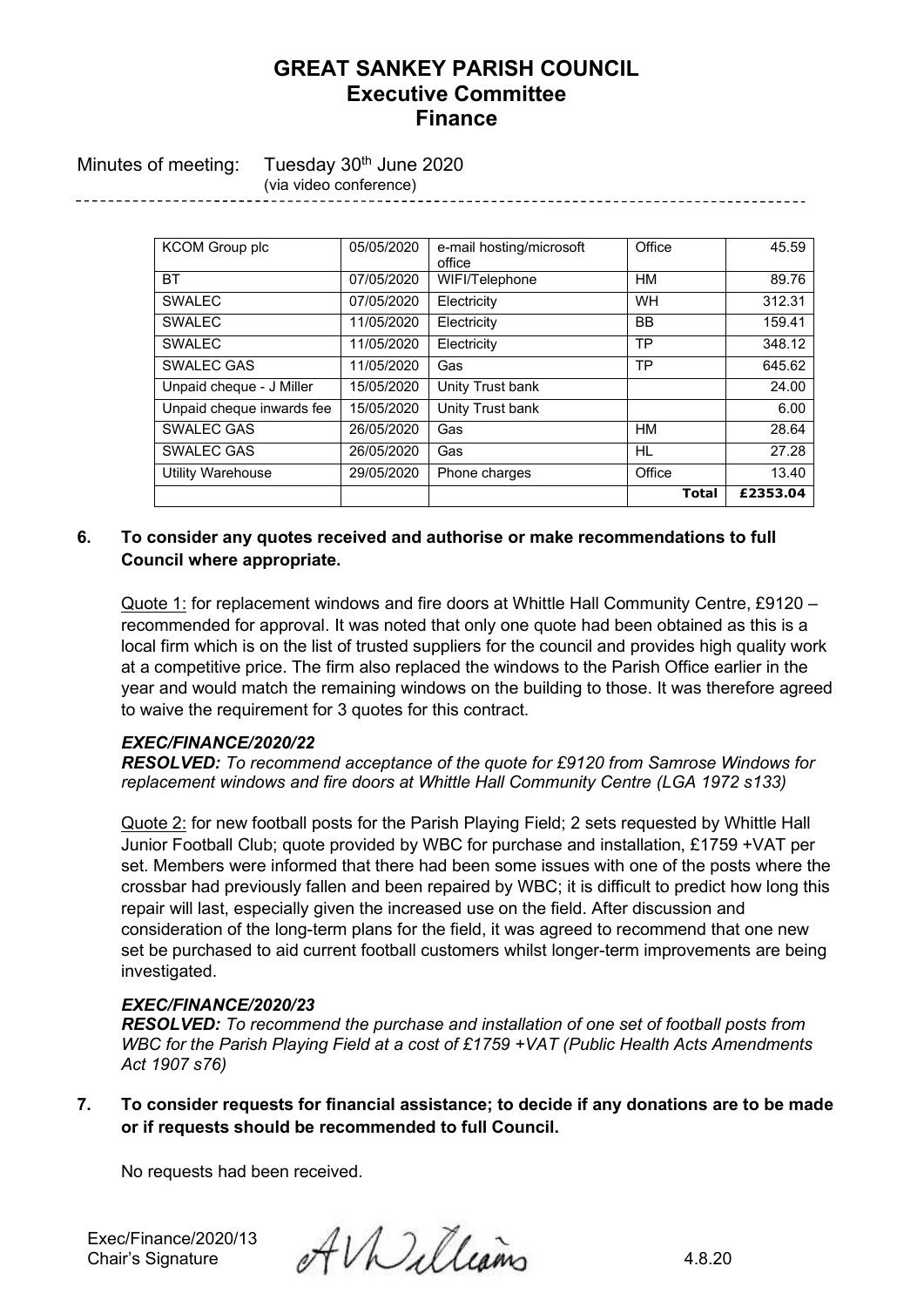Minutes of meeting: Tuesday 30<sup>th</sup> June 2020 (via video conference)

> KCOM Group plc  $\vert$  05/05/2020 e-mail hosting/microsoft office Office 45.59 BT 07/05/2020 WIFI/Telephone HM 89.76 SWALEC 07/05/2020 Electricity WH 312.31 SWALEC 11/05/2020 Electricity TBB 159.41 SWALEC | 11/05/2020 | Electricity | TP 348.12 SWALEC GAS 11/05/2020 Gas TP 645.62 Unpaid cheque - J Miller 15/05/2020 Unity Trust bank 24.00 Unpaid cheque inwards fee 15/05/2020 Unity Trust bank 6.00 SWALEC GAS 26/05/2020 Gas HM 28.64 SWALEC GAS 26/05/2020 Gas HL 27.28 Utility Warehouse 29/05/2020 Phone charges Office 13.40 **Total £2353.04**

## **6. To consider any quotes received and authorise or make recommendations to full Council where appropriate.**

Quote 1: for replacement windows and fire doors at Whittle Hall Community Centre, £9120 – recommended for approval. It was noted that only one quote had been obtained as this is a local firm which is on the list of trusted suppliers for the council and provides high quality work at a competitive price. The firm also replaced the windows to the Parish Office earlier in the year and would match the remaining windows on the building to those. It was therefore agreed to waive the requirement for 3 quotes for this contract.

### *EXEC/FINANCE/2020/22*

*RESOLVED: To recommend acceptance of the quote for £9120 from Samrose Windows for replacement windows and fire doors at Whittle Hall Community Centre (LGA 1972 s133)*

Quote 2: for new football posts for the Parish Playing Field; 2 sets requested by Whittle Hall Junior Football Club; quote provided by WBC for purchase and installation, £1759 +VAT per set. Members were informed that there had been some issues with one of the posts where the crossbar had previously fallen and been repaired by WBC; it is difficult to predict how long this repair will last, especially given the increased use on the field. After discussion and consideration of the long-term plans for the field, it was agreed to recommend that one new set be purchased to aid current football customers whilst longer-term improvements are being investigated.

### *EXEC/FINANCE/2020/23*

*RESOLVED: To recommend the purchase and installation of one set of football posts from WBC for the Parish Playing Field at a cost of £1759 +VAT (Public Health Acts Amendments Act 1907 s76)*

**7. To consider requests for financial assistance; to decide if any donations are to be made or if requests should be recommended to full Council.**

No requests had been received.

Exec/Finance/2020/13

Exec/Finance/2020/13  $\partial$  AV Delleano 4.8.20